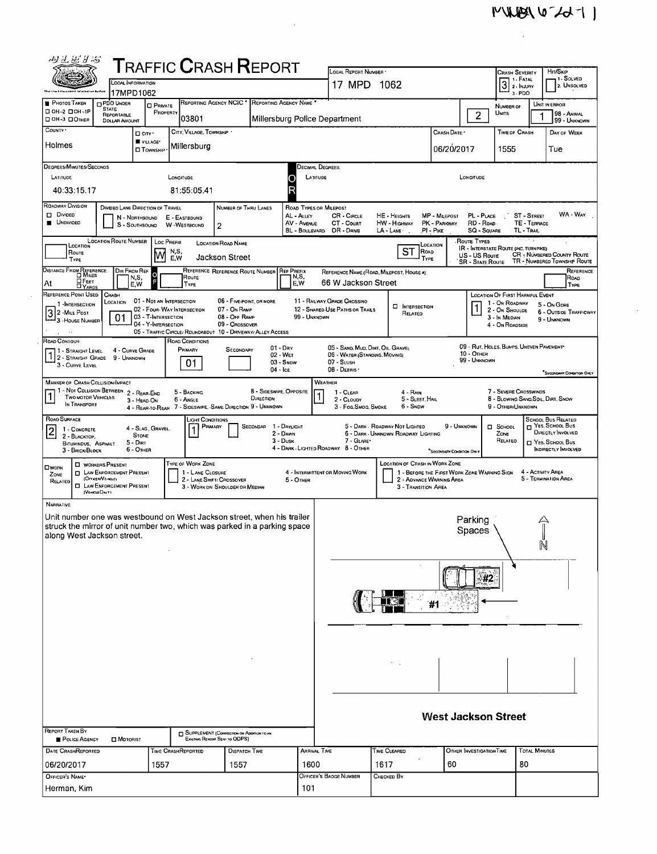$\hat{\mathcal{A}}$ 

| 四丛运子活                                                                                                                                                                                                                                                                                                            |                                                                                          |                                                                      |                                                        |            |                                               | <b>T</b> RAFFIC <b>C</b> RASH <b>R</b> EPORT                              |           |                                          |                                                                                                                                                                                            | LOCAL REPORT NUMBER *                                                                                                                        |                                          |                                                                         |                                      |                                  |                                 | HIT/SKIP                                     |           |  |  |  |  |
|------------------------------------------------------------------------------------------------------------------------------------------------------------------------------------------------------------------------------------------------------------------------------------------------------------------|------------------------------------------------------------------------------------------|----------------------------------------------------------------------|--------------------------------------------------------|------------|-----------------------------------------------|---------------------------------------------------------------------------|-----------|------------------------------------------|--------------------------------------------------------------------------------------------------------------------------------------------------------------------------------------------|----------------------------------------------------------------------------------------------------------------------------------------------|------------------------------------------|-------------------------------------------------------------------------|--------------------------------------|----------------------------------|---------------------------------|----------------------------------------------|-----------|--|--|--|--|
| <b>LOCAL INFORMATION</b>                                                                                                                                                                                                                                                                                         |                                                                                          |                                                                      |                                                        |            |                                               |                                                                           |           |                                          |                                                                                                                                                                                            | 17 MPD 1062                                                                                                                                  |                                          |                                                                         | CRASH SEVERITY<br>$3$ $\cdot$ INJURY | 1 - FATAL                        | 1 - Solved<br>2. UNSOLVED       |                                              |           |  |  |  |  |
| <b>PHOTOS TAKEN</b>                                                                                                                                                                                                                                                                                              | 17MPD1062<br><b>DPDO UNDER</b>                                                           |                                                                      |                                                        |            | REPORTING AGENCY NCIC * REPORTING AGENCY NAME |                                                                           |           |                                          |                                                                                                                                                                                            |                                                                                                                                              |                                          |                                                                         |                                      | 3-PDO                            | UNIT IN ERROR                   |                                              |           |  |  |  |  |
| □ ОН-2 □ ОН-1Р<br>OH-3 DOTHER                                                                                                                                                                                                                                                                                    |                                                                                          | <b>STATE</b><br>REPORTABLE                                           | <b>O</b> PRIVATE                                       | PROPERTY   | 03801                                         |                                                                           |           |                                          |                                                                                                                                                                                            |                                                                                                                                              |                                          |                                                                         | $\overline{2}$                       | NUMBER OF<br><b>UNITS</b>        |                                 | 98 - Ansial                                  |           |  |  |  |  |
| Millersburg Police Department<br><b>DOLLAR AMOUNT</b><br>COUNTY '<br>CITY, VILLAGE, TOWNSHP<br>□ CITY '                                                                                                                                                                                                          |                                                                                          |                                                                      |                                                        |            |                                               |                                                                           |           |                                          |                                                                                                                                                                                            |                                                                                                                                              |                                          | CRASH DATE                                                              |                                      | <b>TIME OF CRASH</b>             |                                 | 99 - UNKNOWN<br>DAY OF WEEK                  |           |  |  |  |  |
| VILLAGE*<br>Holmes<br>Millersburg <br><b>O</b> TOWNSHIP                                                                                                                                                                                                                                                          |                                                                                          |                                                                      |                                                        |            |                                               |                                                                           |           |                                          |                                                                                                                                                                                            |                                                                                                                                              |                                          | 06/20/2017                                                              |                                      | 1555                             |                                 | Tue                                          |           |  |  |  |  |
| DEGREES/MINUTES/SECONDS                                                                                                                                                                                                                                                                                          |                                                                                          |                                                                      |                                                        |            |                                               |                                                                           |           |                                          |                                                                                                                                                                                            |                                                                                                                                              |                                          |                                                                         |                                      |                                  |                                 |                                              |           |  |  |  |  |
| LATITUDE                                                                                                                                                                                                                                                                                                         |                                                                                          |                                                                      |                                                        | LONGITUDE  |                                               |                                                                           |           | Decimal Degrees<br>LATITUDE<br>LONGITUDE |                                                                                                                                                                                            |                                                                                                                                              |                                          |                                                                         |                                      |                                  |                                 |                                              |           |  |  |  |  |
| 40:33:15.17                                                                                                                                                                                                                                                                                                      |                                                                                          |                                                                      |                                                        |            | 81:55:05.41                                   |                                                                           |           |                                          |                                                                                                                                                                                            |                                                                                                                                              |                                          |                                                                         |                                      |                                  |                                 |                                              |           |  |  |  |  |
| ROADWAY DIVISION<br>D DIVIDED                                                                                                                                                                                                                                                                                    |                                                                                          | DIVIDEO LANE DIRECTION OF TRAVEL                                     |                                                        |            |                                               | NUMBER OF THRU LANES                                                      |           |                                          | <b>ROAD TYPES OR MILEPOST</b><br>WA - Way<br>PL - PLACE<br>CR - CIRCLE<br><b>MP - MILEPOST</b><br>ST STREET<br>HE - HEIGHTS                                                                |                                                                                                                                              |                                          |                                                                         |                                      |                                  |                                 |                                              |           |  |  |  |  |
| AL - ALLEY<br>N - NORTHBOUND<br>E - EASTBOUND<br><b>UNDIVIDED</b><br>AV - AVENUE<br>CT - Count<br>HW - Highway<br>PK - PARKWAY<br>RD - Roap.<br>TE - TERRACE<br>$\overline{c}$<br>S - SOUTHBOUND<br>W-WESTBOUND<br>TL - TRAIL<br>BL - BOULEVARD<br>DR - DRNE<br>$LA - LANE -$<br>PI - PIKE<br><b>SQ - SQUARE</b> |                                                                                          |                                                                      |                                                        |            |                                               |                                                                           |           |                                          |                                                                                                                                                                                            |                                                                                                                                              |                                          |                                                                         |                                      |                                  |                                 |                                              |           |  |  |  |  |
| LOCATION ROUTE NUMBER   LOC PREFIX<br>Route Types<br>LOCATION ROAD NAME<br>LOCATION<br>LOCATION                                                                                                                                                                                                                  |                                                                                          |                                                                      |                                                        |            |                                               |                                                                           |           |                                          |                                                                                                                                                                                            |                                                                                                                                              |                                          |                                                                         |                                      |                                  |                                 |                                              |           |  |  |  |  |
| Route<br><b>TYPE</b>                                                                                                                                                                                                                                                                                             |                                                                                          |                                                                      | M                                                      | NS,<br>E.W |                                               | <b>Jackson Street</b>                                                     |           |                                          | <b>IR - INTERSTATE ROUTE (INC. TURNPIKE)</b><br>ST<br><b>RoAD</b><br><b>CR - NUMBERED COUNTY ROUTE</b><br>US - US Route<br>TYPE<br>TR - NUMBERED TOWNSHIP ROUTE<br><b>SR - STATE ROUTE</b> |                                                                                                                                              |                                          |                                                                         |                                      |                                  |                                 |                                              |           |  |  |  |  |
| DISTANCE FROM REFERENCE                                                                                                                                                                                                                                                                                          |                                                                                          | Dir From Ref<br>N,S,                                                 | o                                                      |            | Route                                         | REFERENCE REFERENCE ROUTE NUMBER                                          |           | <b>REF PREFIX</b><br>N,S,                |                                                                                                                                                                                            |                                                                                                                                              | REFERENCE NAME (ROAD, MILEPOST, HOUSE #) |                                                                         |                                      |                                  |                                 | Road                                         | REFERENCE |  |  |  |  |
| <b>OFEET</b><br>At<br>REFERENCE POINT USED                                                                                                                                                                                                                                                                       | <b>DYARDS</b>                                                                            | E.W<br>CRASH                                                         |                                                        |            | TYPE                                          |                                                                           |           | E.W                                      |                                                                                                                                                                                            | 66 W Jackson Street                                                                                                                          |                                          |                                                                         |                                      |                                  | LOCATION OF FIRST HARMFUL EVENT | TYPE                                         |           |  |  |  |  |
| 1-INTERSECTION<br>2 - MILE POST                                                                                                                                                                                                                                                                                  |                                                                                          | LOCATION                                                             | 01 - NOT AN INTERSECTION<br>02 - FOUR-WAY INTERSECTION |            |                                               | 06 - FIVE-POINT, OR MORE<br>07 - On Ramp                                  |           |                                          |                                                                                                                                                                                            | 11 - RAILWAY GRADE CROSSINO<br>12 - SHARED-USE PATHS OR TRAILS                                                                               | <b>NIERSECTION</b>                       |                                                                         |                                      | 1 - On ROADWAY<br>2 - On Shoulde |                                 | 5 - On Gore<br><b>6 - OUTSIDE TRAFFICWAY</b> |           |  |  |  |  |
| $\overline{3}$<br>3 - HOUSE NUMBER                                                                                                                                                                                                                                                                               |                                                                                          | 01                                                                   | 03 - T-Intersection<br>04 - Y-INTERSECTION             |            |                                               | 08 - Off RAMP<br>09 - Crossover                                           |           | 99 - UNKNOWN                             |                                                                                                                                                                                            |                                                                                                                                              | RELATED                                  |                                                                         |                                      | 3 - In Median<br>4 - On ROADSIDE |                                 | 9 - UNKNOWN                                  |           |  |  |  |  |
| 05 - TRAFFIC CIRCLE/ ROUNDABOUT 10 - DRIVEWAY/ ALLEY ACCESS<br>ROAD CONTOUR<br>ROAD CONDITIONS                                                                                                                                                                                                                   |                                                                                          |                                                                      |                                                        |            |                                               |                                                                           |           |                                          |                                                                                                                                                                                            |                                                                                                                                              |                                          |                                                                         |                                      |                                  |                                 |                                              |           |  |  |  |  |
| $01 - Drv$<br>PRIMARY<br>4 - CURVE GRADE<br>SECONDARY<br>1 - STRAIGHT LEVEL<br>02 - WET                                                                                                                                                                                                                          |                                                                                          |                                                                      |                                                        |            |                                               |                                                                           |           |                                          |                                                                                                                                                                                            | 09 - RUT, HOLES, BUMPS, UNEVEN PAVEMENT*<br>05 - SAND, MUD, DIRT, OIL, GRAVEL<br>10 - OTHER<br>06 - WATER (STANDING, MOVING)<br>99 - UNKNOWN |                                          |                                                                         |                                      |                                  |                                 |                                              |           |  |  |  |  |
| 2 - STRAIGHT GRADE 9 - UNKNOWN<br>$03 -$ Snow<br>01<br>3 - CURVE LEVEL<br>$04 -$ Ice                                                                                                                                                                                                                             |                                                                                          |                                                                      |                                                        |            |                                               |                                                                           |           |                                          |                                                                                                                                                                                            | 07 - SLUSH<br>08 - DEBRIS<br>"SECONDARY CONDITION ONLY                                                                                       |                                          |                                                                         |                                      |                                  |                                 |                                              |           |  |  |  |  |
| MANNER OF CRASH COLLISION IMPACT<br>1 - Not Collision Between 2 - Rear-End<br>8 - SIDESWIPE, OPPOSITE                                                                                                                                                                                                            |                                                                                          |                                                                      |                                                        |            |                                               |                                                                           |           |                                          |                                                                                                                                                                                            | WEATHER                                                                                                                                      |                                          |                                                                         |                                      |                                  |                                 |                                              |           |  |  |  |  |
| <b>TWO MOTOR VEHICLES</b><br>In TRANSPORT                                                                                                                                                                                                                                                                        |                                                                                          |                                                                      | 3 - HEAD ON                                            |            | 5 - BACKING<br>$6 - AndLE$                    |                                                                           | DIRECTION |                                          |                                                                                                                                                                                            | 1 - CLEAR<br>2 - CLOUDY<br>3 - Fog, Smog, Smoke                                                                                              | 4 - Rain<br>5 - Sleet, Hail<br>6 - Snow  |                                                                         |                                      | 9 - OTHER/UNKNOWN                | 7 - SEVERE CROSSWINDS           | 8 - BLOWING SAND, SOIL, DIRT, SNOW           |           |  |  |  |  |
| ROAD SURFACE                                                                                                                                                                                                                                                                                                     | 7 - SIDESWIPE, SAME DIRECTION 9 - UNKNOWN<br>4 - Rear-to-Rear<br><b>LIGHT CONDITIONS</b> |                                                                      |                                                        |            |                                               |                                                                           |           |                                          |                                                                                                                                                                                            |                                                                                                                                              |                                          |                                                                         |                                      |                                  |                                 | SCHODL BUS RELATED                           |           |  |  |  |  |
| 1 - CONCRETE<br> 2 <br>2 - BLACKTOP,                                                                                                                                                                                                                                                                             |                                                                                          |                                                                      | 4 - Slag, Gravel.<br>STONE                             |            | PRIMARY                                       |                                                                           | SECONDAR  | 1 - Daylight<br>2 - DAWN                 | NES, SCHOOL BUS<br>5 - DARK - ROADWAY NOT LIGHTED<br>9 - Unknown<br>D SCHOOL<br>DIRECTLY INVOLVED<br>6 - DARK - UNKNOWN ROADWAY LIGHTING<br>ZONE                                           |                                                                                                                                              |                                          |                                                                         |                                      |                                  |                                 |                                              |           |  |  |  |  |
| BITUMINDUS, ASPHALT<br>3 - BRICK/BLOCK                                                                                                                                                                                                                                                                           |                                                                                          | 5 - Dirt                                                             | 6 - OTHER                                              |            |                                               |                                                                           |           | $3 - D$ usk                              | 7 - CLARE*<br>RELATED<br>T YES. SCHOOL BUS<br>4 - DARK - LIGHTED ROADWAY 8 - OTHER<br><b>INDIRECTLY INVOLVED</b><br>"SECONDARY CONDITION DWLY                                              |                                                                                                                                              |                                          |                                                                         |                                      |                                  |                                 |                                              |           |  |  |  |  |
| OWORK                                                                                                                                                                                                                                                                                                            |                                                                                          | <b>C WORKERS PRESENT</b>                                             |                                                        |            | TYPE OF WORK ZONE                             |                                                                           |           |                                          |                                                                                                                                                                                            |                                                                                                                                              | <b>LOCATION OF CRASH IN WORK ZONE</b>    |                                                                         |                                      |                                  |                                 |                                              |           |  |  |  |  |
| ZONE<br>RELATED                                                                                                                                                                                                                                                                                                  | (OrneenVersce)                                                                           | <b>D</b> LAW ENFORCEMENT PRESENT<br><b>C LAW ENFORCEMENT PRESENT</b> |                                                        |            | 1 - LANE CLOSURE                              | 2 - LANE SHIFT/ CROSSOVER<br>3 - WORK ON SHOULDER OR MEDIAN               |           | 5 - Oner                                 |                                                                                                                                                                                            | 4 - INTERMITTENT OR MOVING WORK                                                                                                              | 3 - TRANSITION AREA                      | 1 - BEFORE THE FIRST WORK ZONE WARNING SIGN<br>2 - ADVANCE WARNING AREA |                                      |                                  | 4 - ACTIVITY AREA               | 5 - TERMINATION AREA                         |           |  |  |  |  |
|                                                                                                                                                                                                                                                                                                                  | (VEHICLE ONLY)                                                                           |                                                                      |                                                        |            |                                               |                                                                           |           |                                          |                                                                                                                                                                                            |                                                                                                                                              |                                          |                                                                         |                                      |                                  |                                 |                                              |           |  |  |  |  |
| NARRATIVE<br>Unit number one was westbound on West Jackson street, when his trailer                                                                                                                                                                                                                              |                                                                                          |                                                                      |                                                        |            |                                               |                                                                           |           |                                          |                                                                                                                                                                                            |                                                                                                                                              |                                          |                                                                         | Parking                              |                                  |                                 |                                              |           |  |  |  |  |
| struck the mirror of unit number two, which was parked in a parking space<br>along West Jackson street.                                                                                                                                                                                                          |                                                                                          |                                                                      |                                                        |            |                                               |                                                                           |           |                                          | Spaces                                                                                                                                                                                     |                                                                                                                                              |                                          |                                                                         |                                      |                                  |                                 |                                              |           |  |  |  |  |
|                                                                                                                                                                                                                                                                                                                  |                                                                                          |                                                                      |                                                        |            |                                               |                                                                           |           |                                          |                                                                                                                                                                                            |                                                                                                                                              |                                          |                                                                         |                                      |                                  | Ñ                               |                                              |           |  |  |  |  |
|                                                                                                                                                                                                                                                                                                                  |                                                                                          |                                                                      |                                                        |            |                                               |                                                                           |           |                                          |                                                                                                                                                                                            |                                                                                                                                              |                                          |                                                                         |                                      |                                  |                                 |                                              |           |  |  |  |  |
|                                                                                                                                                                                                                                                                                                                  |                                                                                          |                                                                      |                                                        |            |                                               |                                                                           |           |                                          |                                                                                                                                                                                            |                                                                                                                                              |                                          |                                                                         | #2                                   |                                  |                                 |                                              |           |  |  |  |  |
|                                                                                                                                                                                                                                                                                                                  |                                                                                          |                                                                      |                                                        |            |                                               |                                                                           |           |                                          |                                                                                                                                                                                            |                                                                                                                                              |                                          |                                                                         |                                      |                                  |                                 |                                              |           |  |  |  |  |
|                                                                                                                                                                                                                                                                                                                  |                                                                                          |                                                                      |                                                        |            |                                               |                                                                           |           |                                          | Ή1                                                                                                                                                                                         |                                                                                                                                              |                                          |                                                                         |                                      |                                  |                                 |                                              |           |  |  |  |  |
|                                                                                                                                                                                                                                                                                                                  |                                                                                          |                                                                      |                                                        |            |                                               |                                                                           |           |                                          |                                                                                                                                                                                            |                                                                                                                                              |                                          |                                                                         |                                      |                                  |                                 |                                              |           |  |  |  |  |
|                                                                                                                                                                                                                                                                                                                  |                                                                                          |                                                                      |                                                        |            |                                               |                                                                           |           |                                          |                                                                                                                                                                                            |                                                                                                                                              |                                          |                                                                         |                                      |                                  |                                 |                                              |           |  |  |  |  |
|                                                                                                                                                                                                                                                                                                                  |                                                                                          |                                                                      |                                                        |            |                                               |                                                                           |           |                                          |                                                                                                                                                                                            |                                                                                                                                              |                                          |                                                                         |                                      |                                  |                                 |                                              |           |  |  |  |  |
|                                                                                                                                                                                                                                                                                                                  |                                                                                          |                                                                      |                                                        |            |                                               |                                                                           |           |                                          |                                                                                                                                                                                            |                                                                                                                                              |                                          |                                                                         |                                      |                                  |                                 |                                              |           |  |  |  |  |
|                                                                                                                                                                                                                                                                                                                  |                                                                                          |                                                                      |                                                        |            |                                               |                                                                           |           |                                          |                                                                                                                                                                                            |                                                                                                                                              |                                          |                                                                         |                                      |                                  |                                 |                                              |           |  |  |  |  |
|                                                                                                                                                                                                                                                                                                                  |                                                                                          |                                                                      |                                                        |            |                                               |                                                                           |           |                                          |                                                                                                                                                                                            |                                                                                                                                              |                                          |                                                                         |                                      |                                  |                                 |                                              |           |  |  |  |  |
|                                                                                                                                                                                                                                                                                                                  |                                                                                          |                                                                      |                                                        |            |                                               |                                                                           |           |                                          | <b>West Jackson Street</b>                                                                                                                                                                 |                                                                                                                                              |                                          |                                                                         |                                      |                                  |                                 |                                              |           |  |  |  |  |
| REPORT TAKEN BY<br>POLICE AGENCY                                                                                                                                                                                                                                                                                 |                                                                                          | <b>D</b> MOTORIST                                                    |                                                        |            |                                               | SUPPLEMENT (CORRECTION OR ADDITION TO AN<br>EXISTING REPORT SENT TO ODPS) |           |                                          |                                                                                                                                                                                            |                                                                                                                                              |                                          |                                                                         |                                      |                                  |                                 |                                              |           |  |  |  |  |
| DATE CRASHREPORTED                                                                                                                                                                                                                                                                                               |                                                                                          |                                                                      |                                                        |            | <b>TIME CRASHREPORTED</b>                     | DISPATCH TIME                                                             |           |                                          | <b>ARRIVAL TIME</b>                                                                                                                                                                        |                                                                                                                                              | <b>TIME CLEARED</b>                      |                                                                         | OTHER INVESTIGATION TIME             |                                  | <b>TOTAL MINUTES</b>            |                                              |           |  |  |  |  |
| 06/20/2017                                                                                                                                                                                                                                                                                                       |                                                                                          |                                                                      | 1557                                                   |            |                                               | 1557                                                                      |           | 1600                                     | 60<br>1617                                                                                                                                                                                 |                                                                                                                                              |                                          |                                                                         |                                      | 80                               |                                 |                                              |           |  |  |  |  |
| OFFICER'S NAME*<br>Herman, Kim                                                                                                                                                                                                                                                                                   |                                                                                          |                                                                      |                                                        |            |                                               |                                                                           |           | 101                                      | OFFICER'S BADGE NUMBER<br>Снескер Вү                                                                                                                                                       |                                                                                                                                              |                                          |                                                                         |                                      |                                  |                                 |                                              |           |  |  |  |  |
|                                                                                                                                                                                                                                                                                                                  |                                                                                          |                                                                      |                                                        |            |                                               |                                                                           |           |                                          |                                                                                                                                                                                            |                                                                                                                                              |                                          |                                                                         |                                      |                                  |                                 |                                              |           |  |  |  |  |

 $\frac{1}{2}$ 

 $\bar{z}$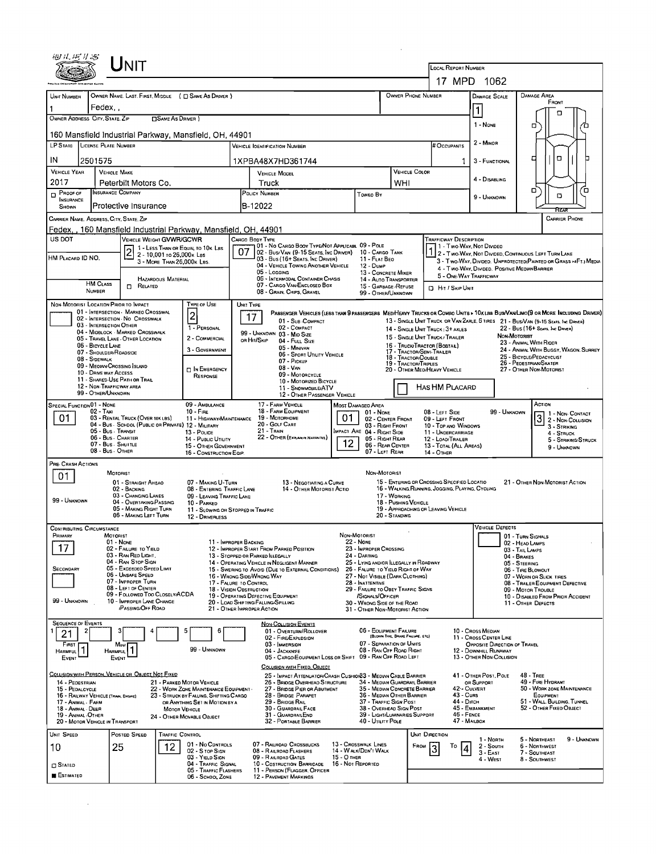|                                                                                                                                                                               |                                          | Unit                                                                            |                            |                                                                                                |                                                                                                             |                                                                                                                                               | <b>LOCAL REPORT NUMBER</b><br>17 MPD 1062                                         |                                                                                                                                                      |                                                                                                                                                            |                                                                                                 |                                                       |                                                         |                                                                                                                             |  |  |  |
|-------------------------------------------------------------------------------------------------------------------------------------------------------------------------------|------------------------------------------|---------------------------------------------------------------------------------|----------------------------|------------------------------------------------------------------------------------------------|-------------------------------------------------------------------------------------------------------------|-----------------------------------------------------------------------------------------------------------------------------------------------|-----------------------------------------------------------------------------------|------------------------------------------------------------------------------------------------------------------------------------------------------|------------------------------------------------------------------------------------------------------------------------------------------------------------|-------------------------------------------------------------------------------------------------|-------------------------------------------------------|---------------------------------------------------------|-----------------------------------------------------------------------------------------------------------------------------|--|--|--|
|                                                                                                                                                                               |                                          |                                                                                 |                            |                                                                                                |                                                                                                             |                                                                                                                                               |                                                                                   |                                                                                                                                                      |                                                                                                                                                            | OWNER PHONE NUMBER                                                                              |                                                       |                                                         |                                                                                                                             |  |  |  |
| UNIT NUMBER                                                                                                                                                                   | Fedex,                                   |                                                                                 |                            | OWNER NAME, LAST, FIRST, MIDDLE ( C SAME AS DRIVER )                                           |                                                                                                             |                                                                                                                                               |                                                                                   |                                                                                                                                                      |                                                                                                                                                            |                                                                                                 | <b>DAMAGE SCALE</b>                                   |                                                         | <b>DAMAGE AREA</b><br>FRONT                                                                                                 |  |  |  |
| OWNER ADDRESS CITY, STATE, ZIP                                                                                                                                                |                                          |                                                                                 | <b>DSAME AS DRIVER</b>     |                                                                                                |                                                                                                             |                                                                                                                                               |                                                                                   |                                                                                                                                                      |                                                                                                                                                            |                                                                                                 | 1<br>1 - NONE                                         | o                                                       |                                                                                                                             |  |  |  |
|                                                                                                                                                                               |                                          |                                                                                 |                            | 160 Mansfield Industrial Parkway, Mansfield, OH, 44901                                         |                                                                                                             |                                                                                                                                               |                                                                                   |                                                                                                                                                      |                                                                                                                                                            |                                                                                                 |                                                       |                                                         | α                                                                                                                           |  |  |  |
| LP STATE LICENSE PLATE NUMBER                                                                                                                                                 |                                          |                                                                                 |                            |                                                                                                |                                                                                                             | <b>VEHICLE IOENTIFICATION NUMBER</b>                                                                                                          |                                                                                   |                                                                                                                                                      |                                                                                                                                                            | # Occupants                                                                                     | 2 - MINOR                                             |                                                         |                                                                                                                             |  |  |  |
| IN                                                                                                                                                                            | 2501575                                  |                                                                                 |                            |                                                                                                |                                                                                                             | 1XPBA48X7HD361744                                                                                                                             |                                                                                   |                                                                                                                                                      |                                                                                                                                                            |                                                                                                 |                                                       | ο<br>□<br>3 - FUNCTIONAL                                |                                                                                                                             |  |  |  |
| <b>VEHICLE YEAR</b><br>2017                                                                                                                                                   | <b>VEHICLE MAKE</b>                      | Peterbilt Motors Co.                                                            |                            |                                                                                                |                                                                                                             | <b>VEHICLE MOOEL</b><br>Truck                                                                                                                 |                                                                                   | VEHICLE COLOR<br>WHI                                                                                                                                 |                                                                                                                                                            | 4 - DISABLING                                                                                   |                                                       |                                                         |                                                                                                                             |  |  |  |
| $P_{\text{FOOF OF}}$<br><b>INSURANCE</b>                                                                                                                                      | NSURANCE COMPANY                         |                                                                                 |                            |                                                                                                |                                                                                                             | POLICY NUMBER                                                                                                                                 |                                                                                   | Toweo By                                                                                                                                             |                                                                                                                                                            |                                                                                                 | 9 - UNKNOWN                                           |                                                         | о<br>ō<br>O                                                                                                                 |  |  |  |
| SHOWN                                                                                                                                                                         |                                          | Protective Insurance                                                            |                            |                                                                                                |                                                                                                             | B-12022                                                                                                                                       |                                                                                   |                                                                                                                                                      |                                                                                                                                                            |                                                                                                 |                                                       |                                                         | Rear                                                                                                                        |  |  |  |
| CARRIER NAME, AODRESS, CITY, STATE, ZIP                                                                                                                                       |                                          |                                                                                 |                            | Fedex,, 160 Mansfield Industrial Parkway, Mansfield, OH, 44901                                 |                                                                                                             |                                                                                                                                               |                                                                                   |                                                                                                                                                      |                                                                                                                                                            |                                                                                                 |                                                       |                                                         | <b>CARRIER PHONE</b>                                                                                                        |  |  |  |
| US DOT                                                                                                                                                                        |                                          | <b>VEHICLE WEIGHT GVWR/GCWR</b>                                                 |                            |                                                                                                |                                                                                                             | CARGO BODY TYPE                                                                                                                               |                                                                                   |                                                                                                                                                      |                                                                                                                                                            | TRAFFICWAY DESCRIPTION                                                                          |                                                       |                                                         |                                                                                                                             |  |  |  |
| HM PLACARD ID NO.                                                                                                                                                             |                                          |                                                                                 | 2 - 10,001 то 26,000к LBS  | 1 - LESS THAN OR EQUAL TO 10K LBS                                                              | 07                                                                                                          | 191 - No Cargo Booy Type/Not Applicabl 99 - Pole<br>02 - Bus/Van (9-15 Seats, Inc Driver) 10 - Cargo Tank<br>03 - Bus (16+ SEATS, INC DRIVER) |                                                                                   | 11 - FLAT BEO                                                                                                                                        |                                                                                                                                                            |                                                                                                 | 1 - Two-Way, Not Divideo                              |                                                         | 2 - Two-Way, Not Divided, Continuous LEFT TURN LANE                                                                         |  |  |  |
|                                                                                                                                                                               |                                          |                                                                                 | 3 - MORE THAN 26,000K LBS. |                                                                                                |                                                                                                             | 04 - VEHICLE TOWING ANOTHER VEHICLE<br>05 - LOGGING                                                                                           |                                                                                   | 12 - Duwe<br>13 - CONCRETE MIXER                                                                                                                     |                                                                                                                                                            |                                                                                                 | 4 - Two-WAY, DIVIDED. POSITIVE MEDIAN BARRIER         |                                                         | 3 - Two-WAY, DIVIDED. UNPROTECTED(PAINTED OR GRASS >4FT.) MEDIA                                                             |  |  |  |
|                                                                                                                                                                               | <b>HM CLASS</b>                          | RELATED<br>o                                                                    | <b>HAZARDOUS MATERIAL</b>  |                                                                                                |                                                                                                             | 06 - INTERMODAL CONTAINER CHASIS<br>07 - CARGO VAN/ENCLOSED BOX                                                                               |                                                                                   | 14 - Auto Transporter<br>15 - GARBAGE / REFUSE                                                                                                       |                                                                                                                                                            | <b>D</b> Hit / Skip Unit                                                                        | 5 - ONE WAY TRAFFICWAY                                |                                                         |                                                                                                                             |  |  |  |
|                                                                                                                                                                               | NUMBER                                   |                                                                                 |                            |                                                                                                |                                                                                                             | 08 - GRAIN, CHIPS, GRAVEL                                                                                                                     |                                                                                   | 99 - OTHER/UNKNOWN                                                                                                                                   |                                                                                                                                                            |                                                                                                 |                                                       |                                                         |                                                                                                                             |  |  |  |
| NON-MOTORIST LOCATION PRIOR TO IMPACT                                                                                                                                         |                                          | 01 - INTERSECTION - MARKEO CROSSWAL                                             |                            | <b>TYPE OF USE</b><br> 2                                                                       | UNIT TYPE                                                                                                   | 17                                                                                                                                            |                                                                                   |                                                                                                                                                      |                                                                                                                                                            |                                                                                                 |                                                       |                                                         | PASSENGER VEHICLES (LESS THAN 9 PASSENGERS MEDINEAVY TRUCKS OR COMBO UNITS > 10KLBS BUS/VAMLIMO(9 OR MORE INCLUDING DRIVER) |  |  |  |
|                                                                                                                                                                               | 03 - INTERSECTION OTHER                  | 02 - INTERSECTION No CROSSWALK                                                  |                            | 1 - PERSONAL                                                                                   |                                                                                                             | 01 - Sub COMPACT<br>02 - COMPACT                                                                                                              |                                                                                   |                                                                                                                                                      | 13 - SINGLE UNIT TRUCK OR VAN ZAXLE, 6 TIRES 21 - BUS/VAN (9-15 SEATS, INC DRIVER)<br>22 - Bus (16+ Seats, Inc Driver)<br>14 - SINGLE UNIT TRUCK: 3+ AXLES |                                                                                                 |                                                       |                                                         |                                                                                                                             |  |  |  |
|                                                                                                                                                                               | 06 - BICYCLE LANE                        | 04 - MIDBLOCK MARKED CROSSWALK<br>05 - TRAVEL LANE - OTHER LOCATION             |                            | 2 - COMMERCIAL                                                                                 |                                                                                                             | 99 - UNKNOWN 03 - MID SIZE<br>OR HIT/SKIP<br>04 - FULL SIZE                                                                                   |                                                                                   |                                                                                                                                                      | NON-MOTORIST<br>15 - SINGLE UNIT TRUCK / TRAILER<br>23 - ANIMAL WITH RIDER                                                                                 |                                                                                                 |                                                       |                                                         |                                                                                                                             |  |  |  |
|                                                                                                                                                                               | 07 - SHOULDER/ROADSIDE<br>08 - SIDEWALK  |                                                                                 |                            | 3 - GOVERNMENT                                                                                 |                                                                                                             | 05 - MINIVAN<br>06 - SPORT UTILITY VEHICLE                                                                                                    |                                                                                   | 16 - TRUCK/TRACTOR (BOBTAIL)<br>24 - ANIMAL WITH BUGGY, WAGON, SURREY<br>17 - TRACTOR/SEMI-TRALER<br>25 - BICYCLE/PEDACYCLIST<br>18 - TRACTOR/DOUBLE |                                                                                                                                                            |                                                                                                 |                                                       |                                                         |                                                                                                                             |  |  |  |
|                                                                                                                                                                               |                                          | 09 - MEOIAN/CROSSING SLAND                                                      |                            | <b>DIN EMERGENCY</b>                                                                           | 07 - Pickup<br>$08 - V_{AN}$<br>09 - MOTORCYCLE                                                             |                                                                                                                                               |                                                                                   |                                                                                                                                                      |                                                                                                                                                            | 19 - TRACTOR/TRIPLES<br>20 - OTHER MED/HEAVY VEHICLE                                            |                                                       |                                                         | 26 - PEDESTRIAN/SKATER<br>27 - OTHER NON-MOTORIST                                                                           |  |  |  |
| 10 - DRIVE WAY ACCESS<br>RESPONSE<br>11 - SHARED-USE PATH OR TRAIL<br>12 - NON-TRAFFICWAY AREA                                                                                |                                          |                                                                                 |                            |                                                                                                |                                                                                                             | 10 - MOTORIZED BICYCLE<br>11 - SNOWMOBILE/ATV                                                                                                 |                                                                                   |                                                                                                                                                      |                                                                                                                                                            | <b>HAS HM PLACARD</b>                                                                           |                                                       |                                                         |                                                                                                                             |  |  |  |
|                                                                                                                                                                               | 99 - OTHER/UNKNOWN                       |                                                                                 |                            |                                                                                                |                                                                                                             | 12 - OTHER PASSENGER VEHICLE                                                                                                                  |                                                                                   |                                                                                                                                                      |                                                                                                                                                            |                                                                                                 |                                                       |                                                         |                                                                                                                             |  |  |  |
| <b>SPECIAL FUNCTION 01 - NONE</b><br>09 - AMBULANCE<br>02 - Taxi<br>10 - FIRE<br>03 - RENTAL TRUCK (OVER 10KLBS)                                                              |                                          |                                                                                 |                            |                                                                                                |                                                                                                             | 17 - FARM VEHICLE<br>18 - FARM EQUIPMENT<br>19 - MOTORHOME                                                                                    | 01                                                                                | <b>MOST DAMAGEO AREA</b><br>$01 - None$                                                                                                              |                                                                                                                                                            | 08 - LEFT SIDE                                                                                  |                                                       | 99 - UNKNOWN                                            | ACTION<br>1 - Non-Contact                                                                                                   |  |  |  |
| 01                                                                                                                                                                            | 05 - Bus . Transit                       |                                                                                 |                            | 11 - HIGHWAY/MAINTENANCE<br>04 - Bus - SCHDOL (PUBLIC OR PRIVATE) 12 - MILITARY<br>13 - POLICE |                                                                                                             | 20 - GOLF CART<br>21 - TRAIN                                                                                                                  | 02 - CENTER FRONT<br>03 - RIGHT FRONT<br>MPAC1 ARE 04 - RIGHT SIDE                |                                                                                                                                                      | 09 - LEFT FRONT<br>10 - Top and Windows<br>11 - UNDERCARRIAGE                                                                                              |                                                                                                 |                                                       | 3<br>2 - Non-Collision<br>3 - STRIKING                  |                                                                                                                             |  |  |  |
|                                                                                                                                                                               | 06 - Bus - Charter<br>07 - Bus - SHUITLE |                                                                                 |                            | 14 - PUBLIC UTILITY<br>15 - OTHER GOVERNMENT                                                   |                                                                                                             | 22 - OTHER (EXPLAININ NARRATIVE)                                                                                                              | 05 - RIGHT REAR<br>06 - REAR CENTER                                               |                                                                                                                                                      | 4 - STRUCK<br>5 - STRIKING/STRUCK                                                                                                                          |                                                                                                 |                                                       |                                                         |                                                                                                                             |  |  |  |
|                                                                                                                                                                               | 08 - Bus. OTHER                          |                                                                                 |                            | 16 - CONSTRUCTION EQIP.                                                                        |                                                                                                             |                                                                                                                                               | 12                                                                                | 07 - LEFT REAR                                                                                                                                       |                                                                                                                                                            | 13 - TOTAL (ALL AREAS)<br>14 - OTHER                                                            |                                                       |                                                         | 9 - UNKNOWN                                                                                                                 |  |  |  |
| PRE- CRASH ACTIONS<br>01                                                                                                                                                      | <b>MOTORIST</b>                          |                                                                                 |                            |                                                                                                |                                                                                                             |                                                                                                                                               |                                                                                   | NON-MOTORIST                                                                                                                                         |                                                                                                                                                            |                                                                                                 |                                                       |                                                         |                                                                                                                             |  |  |  |
|                                                                                                                                                                               |                                          | 01 - STRAIGHT AHEAO<br>02 - BACKING                                             |                            | 07 - MAKING U-TURN<br>08 - ENTERING TRAFFIC LANE                                               |                                                                                                             | 13 - NEGOTIATING A CURVE<br>14 - OTHER MOTORIST ACTIO                                                                                         |                                                                                   |                                                                                                                                                      |                                                                                                                                                            | 15 - ENTERING OR CROSSING SPECIFIED LOCATIO<br>16 - WALKING, RUNNING, JOGGING, PLAYING, CYCLING |                                                       |                                                         | 21 - OTHER NDN-MOTORIST ACTION                                                                                              |  |  |  |
| 99 - UNKNOWN                                                                                                                                                                  |                                          | 03 - CHANGING LANES<br>04 - OVERTAKING/PASSING                                  |                            | 09 - LEAVING TRAFFIC LANE<br>10 - PARKED                                                       |                                                                                                             |                                                                                                                                               |                                                                                   | 17 - WORKING<br>18 - PUSHING VEHICLE                                                                                                                 |                                                                                                                                                            |                                                                                                 |                                                       |                                                         |                                                                                                                             |  |  |  |
|                                                                                                                                                                               |                                          | 05 - MAKING RIGHT TURN<br>06 - MAKING LEFT TURN                                 |                            | 11 - SLOWING OR STOPPED IN TRAFFIC<br>12 - DRIVERLESS                                          |                                                                                                             |                                                                                                                                               |                                                                                   |                                                                                                                                                      | 20 - STANDING                                                                                                                                              | 19 - APPROACHING OR LEAVING VEHICLE                                                             |                                                       |                                                         |                                                                                                                             |  |  |  |
| Contributing Circumstance<br>PRIMARY                                                                                                                                          | MOTORIST                                 |                                                                                 |                            |                                                                                                |                                                                                                             |                                                                                                                                               | NON-MOTORIST                                                                      |                                                                                                                                                      |                                                                                                                                                            |                                                                                                 | VEHICLE DEFECTS                                       |                                                         |                                                                                                                             |  |  |  |
| 17                                                                                                                                                                            | 01 - NONE                                | 02 - FAILURE TO YIELD                                                           |                            | 11 - IMPROPER BACKING                                                                          |                                                                                                             | 12 - IMPROPER START FROM PARKED POSITION                                                                                                      | <b>22 - None</b>                                                                  | 23 - IMPROPER CROSSING                                                                                                                               |                                                                                                                                                            |                                                                                                 |                                                       | 01 - TURN SIGNALS<br>02 - HEAD LAMPS                    |                                                                                                                             |  |  |  |
|                                                                                                                                                                               |                                          | 03 - RAN RED LIGHT.<br>04 - RAN STOP SIGN                                       |                            |                                                                                                |                                                                                                             | 13 - STOPPED OR PARKED ILLEGALLY<br>14 - OPERATING VEHICLE IN NEGLIGENT MANNER                                                                |                                                                                   | 24 - DARTING<br>25 - LYING AND/OR ILLEGALLY IN ROADWAY                                                                                               |                                                                                                                                                            |                                                                                                 | 03 - TAIL LAMPS<br>04 - BRAKES<br>05 - STEERING       |                                                         |                                                                                                                             |  |  |  |
| SECONDARY                                                                                                                                                                     |                                          | 05 - Exceepeo Speep Limit<br>06 - Unsafe Speed                                  |                            |                                                                                                |                                                                                                             | 15 - SWERING TO AVOID (DUE TO EXTERNAL CONDITIONS)<br>16 - WRONG SIDE/WRONG WAY                                                               | 26 - FALURE TO YIELD RIGHT OF WAY<br>27 - NOT VISIBLE (DARK CLOTHING)             |                                                                                                                                                      |                                                                                                                                                            |                                                                                                 | 06 - TRE BLOWOUT<br>07 - WORN OR SLICK TIRES          |                                                         |                                                                                                                             |  |  |  |
|                                                                                                                                                                               |                                          | 07 - IMPROPER TURN<br>08 - LEFT OF CENTER                                       |                            |                                                                                                | 17 - FALURE TO CONTROL<br>28 - INATTENTIVE<br>18 - VISION OBSTRUCTION<br>29 - FAILURE TO OBEY TRAFFIC SIGNS |                                                                                                                                               |                                                                                   |                                                                                                                                                      |                                                                                                                                                            |                                                                                                 |                                                       | 08 - TRALER EQUIPMENT DEFECTIVE<br>09 - MOTOR TROUBLE   |                                                                                                                             |  |  |  |
| 99 - UNKNOWN                                                                                                                                                                  |                                          | 09 - FOLLOWED TOO CLOSELY/ACDA<br>10 - IMPROPER LANE CHANGE<br>PASSING/OFF ROAD |                            |                                                                                                |                                                                                                             | 19 - OPERATING DEFECTIVE EQUIPMENT<br>20 - LOAD SHIFTING/FALLING/SPILLING<br>21 - OTHER IMPROPER ACTION                                       | /SIGNALS/OFFICER<br>30 - WRONG SIDE OF THE ROAD<br>31 - OTHER NON-MOTORIST ACTION |                                                                                                                                                      |                                                                                                                                                            |                                                                                                 |                                                       | 10 - DISABLED FROM PRIOR ACCIDENT<br>11 - OTHER DEFECTS |                                                                                                                             |  |  |  |
| <b>SEQUENCE OF EVENTS</b>                                                                                                                                                     |                                          |                                                                                 |                            |                                                                                                |                                                                                                             |                                                                                                                                               |                                                                                   |                                                                                                                                                      |                                                                                                                                                            |                                                                                                 |                                                       |                                                         |                                                                                                                             |  |  |  |
| 21                                                                                                                                                                            |                                          |                                                                                 |                            | 5<br>6                                                                                         |                                                                                                             | <b>NON-COLLISION EVENTS</b><br>01 - OVERTURN/ROLLOVER<br>02 - FIRE/EXPLOSION                                                                  |                                                                                   | 06 - EQUIPMENT FAILURE                                                                                                                               | (BLOWN TIRE, BRAKE FAILURE, ETC)                                                                                                                           |                                                                                                 | 10 - Cross Median<br>11 - Cross CENTER LINE           |                                                         |                                                                                                                             |  |  |  |
| FIRST<br><b>HARMFUL</b>                                                                                                                                                       | <b>HARMFUL</b>                           | Most                                                                            |                            | 99 - UNKNOWN                                                                                   |                                                                                                             | 03 - IMMERSION<br>04 - JACKKNIFE                                                                                                              |                                                                                   | 07 - SEPARATION OF UNITS<br>08 - RAN OFF ROAD RIGHT                                                                                                  |                                                                                                                                                            |                                                                                                 | OPPOSITE DIRECTION OF TRAVEL<br>12 - DOWNHILL RUNAWAY |                                                         |                                                                                                                             |  |  |  |
| EVENT                                                                                                                                                                         | EVENT                                    |                                                                                 |                            |                                                                                                |                                                                                                             | 05 - CARGO/EQUIPMENT LOSS OR SHIFT                                                                                                            |                                                                                   | 09 - RAN OFF ROAD LEFT                                                                                                                               |                                                                                                                                                            |                                                                                                 |                                                       | 13 - OTHER NON COLLISION                                |                                                                                                                             |  |  |  |
| COLLISION WITH PERSON, VEHICLE OR OBJECT NOT FIXED                                                                                                                            |                                          |                                                                                 |                            |                                                                                                |                                                                                                             | COLLISION WITH FIXED, OBJECT<br>25 - IMPACT ATTENUATOR/CRASH CUSHION33 - MEDIAN CABLE BARRIER                                                 | 34 - MEDIAN GUARDRAIL BARRIER                                                     |                                                                                                                                                      |                                                                                                                                                            | 41 - OTHER POST, POLE                                                                           |                                                       | <b>48 - TREE</b><br>49 - FIRE HYDRANT                   |                                                                                                                             |  |  |  |
| 14 - PEDESTRIAN<br>21 - PARKED MOTOR VEHICLE<br>15 PEDALCYCLE<br>22 - WORK ZONE MAINTENANCE EQUIPMENT -                                                                       |                                          |                                                                                 |                            |                                                                                                |                                                                                                             | 26 - BRIDGE OVERHEAD STRUCTURE<br>27 - BRIDGE PIER OR ABUTMENT<br>28 - BRIDGE PARAPET                                                         |                                                                                   |                                                                                                                                                      |                                                                                                                                                            | 35 - MEDIAN CONCRETE BARRIER                                                                    | OR SUPPORT<br>42 - CULVERT<br><b>43 - Cuns</b>        |                                                         | 50 - WORK ZONE MAINTENANCE<br>EQUIPMENT                                                                                     |  |  |  |
| 16 - RAILWAY VEHICLE (TRAIN, ENGINE)<br>23 - STRUCK BY FALLING, SHIFTING CARGO<br>17 - ANIMAL - FARM<br>OR ANYTHING SET IN MOTION BY A<br>18 - Animal - Deer<br>MOTOR VEHICLE |                                          |                                                                                 |                            |                                                                                                |                                                                                                             | 29 - BRIDGE RAIL<br>30 - GUARDRAIL FACE                                                                                                       |                                                                                   | 36 - MEDIAN OTHER BARRIER<br>37 - TRAFFIC SIGN POST<br>38 - OVERHEAD SIGN POST                                                                       |                                                                                                                                                            |                                                                                                 | 44 - Олсн<br>45 - Емаликмент                          |                                                         | 51 - WALL, BUILDING, TUNNEL<br>52 - Отнев Fixed Object                                                                      |  |  |  |
| 19 - ANIMAL -OTHER<br>20 - MOTOR VEHICLE IN TRANSPORT                                                                                                                         |                                          |                                                                                 |                            | 24 - Отнея Моуавце Оалест                                                                      |                                                                                                             | 31 - GUARDRAILEND<br>32 - PORTABLE BARRIER                                                                                                    | 39 - LIGHT/LUMINARIES SUPPORT<br>40 - UTILITY POLE                                |                                                                                                                                                      |                                                                                                                                                            | $46 -$ FENCE<br>47 - MAILBOX                                                                    |                                                       |                                                         |                                                                                                                             |  |  |  |
| UNIT SPEED                                                                                                                                                                    |                                          | POSTED SPEED                                                                    | <b>TRAFFIC CONTROL</b>     |                                                                                                |                                                                                                             |                                                                                                                                               |                                                                                   |                                                                                                                                                      |                                                                                                                                                            | UNIT DIRECTION                                                                                  | 1 - North                                             |                                                         | 5 - NORTHEAST<br>9 - UNKNOWN                                                                                                |  |  |  |
| 10                                                                                                                                                                            | 25                                       |                                                                                 | 12                         | 01 - No CDNTROLS<br>02 - S TOP SIGN                                                            |                                                                                                             | 07 - RAILROAD CROSSBUCKS<br>08 - RAILRDAD FLASHERS                                                                                            |                                                                                   | 13 - Crosswalk Lines<br>14 - WALK/DDN'T WALK                                                                                                         |                                                                                                                                                            |                                                                                                 | 2 - South<br>$3 - E$ AST                              |                                                         | 6 - NORTHWEST<br>7 - SOUTHEAST                                                                                              |  |  |  |
| $\square$ Stated                                                                                                                                                              |                                          |                                                                                 |                            | 03 - YIELD SIGN<br>04 - TRAFFIC SIGNAL                                                         |                                                                                                             | 09 - RALRDAD GATES<br>10 - COSTRUCTION BARRICADE                                                                                              | 15 - О тнев<br>16 - Not Reported                                                  |                                                                                                                                                      |                                                                                                                                                            |                                                                                                 | 4 - WEST                                              |                                                         | 8 - SOUTHWEST                                                                                                               |  |  |  |
| <b>ESTIMATED</b>                                                                                                                                                              |                                          |                                                                                 |                            | 05 - TRAFFIC FLASHERS<br>06 - SCHDOL ZONE                                                      |                                                                                                             | 11 - PERSON (FLAGGER, OFFICER<br>12 - PAVEMENT MARKINGS                                                                                       |                                                                                   |                                                                                                                                                      |                                                                                                                                                            |                                                                                                 |                                                       |                                                         |                                                                                                                             |  |  |  |

 $\mathcal{L}^{\text{max}}_{\text{max}}$  and  $\mathcal{L}^{\text{max}}_{\text{max}}$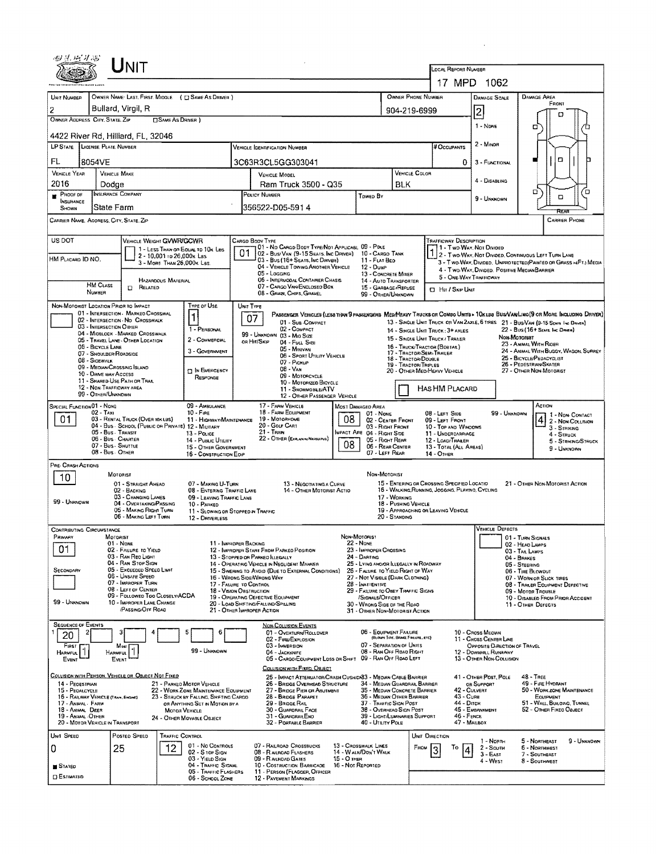| 心見 店 才高                                                                                                        |                                                                              | Ú́NIT                                                       |                           |                                                                                 |                                                                                                                              |                                                                                                                                                          |                                                           |                                                                               |                                                                                  |                      |                                                                                                                                    |                                                        |                                                |                                                     |                                                                  |  |  |  |  |  |
|----------------------------------------------------------------------------------------------------------------|------------------------------------------------------------------------------|-------------------------------------------------------------|---------------------------|---------------------------------------------------------------------------------|------------------------------------------------------------------------------------------------------------------------------|----------------------------------------------------------------------------------------------------------------------------------------------------------|-----------------------------------------------------------|-------------------------------------------------------------------------------|----------------------------------------------------------------------------------|----------------------|------------------------------------------------------------------------------------------------------------------------------------|--------------------------------------------------------|------------------------------------------------|-----------------------------------------------------|------------------------------------------------------------------|--|--|--|--|--|
|                                                                                                                |                                                                              |                                                             |                           |                                                                                 |                                                                                                                              |                                                                                                                                                          |                                                           |                                                                               |                                                                                  |                      |                                                                                                                                    | LOCAL REPORT NUMBER<br>17 MPD<br>1062                  |                                                |                                                     |                                                                  |  |  |  |  |  |
| UNIT NUMBER                                                                                                    |                                                                              |                                                             |                           | OWNER NAME: LAST, FIRST, MIDDLE ( E SAME AS DRIVER )                            |                                                                                                                              | OWNER PHONE NUMBER                                                                                                                                       |                                                           |                                                                               |                                                                                  |                      |                                                                                                                                    | DAMAGE SCALE                                           | DAMAGE AREA                                    |                                                     |                                                                  |  |  |  |  |  |
| 2                                                                                                              | Bullard, Virgil, R                                                           |                                                             |                           |                                                                                 |                                                                                                                              |                                                                                                                                                          |                                                           |                                                                               | 904-219-6999                                                                     |                      |                                                                                                                                    |                                                        | FRONT                                          |                                                     |                                                                  |  |  |  |  |  |
| OWNER ADDRESS CITY, STATE, ZIP                                                                                 |                                                                              |                                                             | <b>CISAME AS DRIVER 1</b> |                                                                                 |                                                                                                                              |                                                                                                                                                          |                                                           |                                                                               |                                                                                  |                      |                                                                                                                                    | 2                                                      |                                                | п                                                   |                                                                  |  |  |  |  |  |
| 4422 River Rd, Hilliard, FL, 32046                                                                             |                                                                              |                                                             |                           |                                                                                 |                                                                                                                              |                                                                                                                                                          |                                                           |                                                                               |                                                                                  |                      |                                                                                                                                    | 1 - None                                               | o                                              |                                                     |                                                                  |  |  |  |  |  |
| LP STATE LICENSE PLATE NUMBER                                                                                  |                                                                              |                                                             |                           |                                                                                 |                                                                                                                              | <b>VEHICLE IDENTIFICATION NUMBER</b>                                                                                                                     |                                                           |                                                                               |                                                                                  |                      | # Occupants                                                                                                                        |                                                        |                                                |                                                     |                                                                  |  |  |  |  |  |
| FL                                                                                                             | 8054VE                                                                       |                                                             |                           |                                                                                 |                                                                                                                              | 3C63R3CL5GG303041                                                                                                                                        |                                                           |                                                                               |                                                                                  |                      | 0                                                                                                                                  | о                                                      |                                                |                                                     |                                                                  |  |  |  |  |  |
| <b>VEHICLE YEAR</b><br>2016                                                                                    | <b>VEHICLE MAKE</b>                                                          |                                                             |                           |                                                                                 | VEHICLE COLOR<br><b>VEHICLE MODEL</b>                                                                                        |                                                                                                                                                          |                                                           |                                                                               |                                                                                  |                      |                                                                                                                                    | 4 - DISABLING                                          |                                                |                                                     |                                                                  |  |  |  |  |  |
| PROOF OF                                                                                                       | Dodge<br>INSURANCE COMPANY                                                   |                                                             |                           |                                                                                 |                                                                                                                              | Ram Truck 3500 - Q35<br>POLICY NUMBER                                                                                                                    |                                                           | Towep By                                                                      | BLK                                                                              |                      |                                                                                                                                    | 9 - Unknown                                            |                                                | п<br>$\Box$                                         | Έ                                                                |  |  |  |  |  |
| <b>INSURANCE</b><br>SHOWN                                                                                      | <b>State Farm</b>                                                            |                                                             |                           |                                                                                 |                                                                                                                              | 356522-D05-591 4                                                                                                                                         |                                                           |                                                                               |                                                                                  |                      |                                                                                                                                    |                                                        | निद्रका                                        |                                                     |                                                                  |  |  |  |  |  |
| CARRIER NAME, AODRESS, CITY, STATE, ZIP                                                                        |                                                                              |                                                             |                           |                                                                                 |                                                                                                                              |                                                                                                                                                          |                                                           |                                                                               |                                                                                  |                      |                                                                                                                                    |                                                        |                                                |                                                     | <b>CARRIER PHONE</b>                                             |  |  |  |  |  |
| US DOT                                                                                                         |                                                                              | VEHICLE WEIGHT GVWR/GCWR                                    |                           |                                                                                 |                                                                                                                              | CARGO BOOY TYPE                                                                                                                                          |                                                           |                                                                               |                                                                                  |                      | Trafficway Description                                                                                                             |                                                        |                                                |                                                     |                                                                  |  |  |  |  |  |
|                                                                                                                |                                                                              |                                                             | 2 - 10,001 to 26,000x Las | 1 - LESS THAN OR EQUAL TO 10K LBS                                               | 01                                                                                                                           | 101 - No Cargo Booy Type/Not Applicasi. 09 - Pole<br>02 - Busi Van (9-15 Seats, Inc Driver)                                                              |                                                           | 10 - CARGO TANK                                                               |                                                                                  |                      | 1 - Two-Way, Not Divided                                                                                                           |                                                        |                                                | 2 - Two Way, Not Divided, Continuous LEFT TURN LANE |                                                                  |  |  |  |  |  |
| HM PLACAHO ID NO.                                                                                              |                                                                              |                                                             |                           | 3 - MORE THAN 26,000K LBS.                                                      |                                                                                                                              | 03 - Bus (16+ Sears, Inc Driver)<br>04 - VEHICLE TOWING ANOTHER VEHICLE                                                                                  |                                                           | 11 - FLAT BED<br>12 - Dump                                                    |                                                                                  |                      | 4 - TWO-WAY, DIVIDED. POSITIVE MEDIAN BARRIER                                                                                      |                                                        |                                                |                                                     | 3 - Two-Way, Divideo, UNPROTECTED (PAINTED OR GRASS >4FT.) MEDIA |  |  |  |  |  |
|                                                                                                                |                                                                              |                                                             | HAZARDOUS MATERIAL        |                                                                                 |                                                                                                                              | 05 - Locoinc<br>06 - INTERMODAL CONTAINER CHASIS                                                                                                         |                                                           | 13 - CONCRETE MIXER<br>14 - AUTO TRANSPORTER                                  |                                                                                  |                      | 5 - ONE-WAY TRAFFICWAY                                                                                                             |                                                        |                                                |                                                     |                                                                  |  |  |  |  |  |
|                                                                                                                | HM CLASS<br>NUMBER                                                           | RELATED<br>O.                                               |                           |                                                                                 |                                                                                                                              | 07 - CARGO VAN ENCLOSED BOX<br>08 - GRAIN, CHIPS, GRAVEL                                                                                                 |                                                           | 15 - GARBAGE / REFUSE<br>99 - OTHER/UNKNOWN                                   |                                                                                  |                      | <b>CI HIT / SKIP UNIT</b>                                                                                                          |                                                        |                                                |                                                     |                                                                  |  |  |  |  |  |
|                                                                                                                | NON-MOTORIST LOCATION PRIOR TO IMPACT<br>01 - INTERSECTION - MARKED CROSSWAL |                                                             |                           | TYPE OF USE                                                                     |                                                                                                                              | UNIT TYPE                                                                                                                                                |                                                           |                                                                               |                                                                                  |                      |                                                                                                                                    |                                                        |                                                |                                                     |                                                                  |  |  |  |  |  |
|                                                                                                                | 02 - INTERSECTION - NO CROSSWALK<br>03 - INTERSECTION OTHER                  |                                                             |                           | 1                                                                               |                                                                                                                              | PASSENGER VEHICLES (LESS THAN 9 PASSENGERS MEDIMEARY TRUCKS OR COMBO UNITS > 10KLBS BUS/VAN/LIMO(9 OR MORE INCLUDING DRIVER)<br>07<br>01 - Sua Compact   |                                                           |                                                                               | 13 - SINGLE UNIT TRUCK OR VAN ZAXLE, 6 TRES 21 - BUS/VAN (9-15 SEATS ING DRIVER) |                      |                                                                                                                                    |                                                        |                                                |                                                     |                                                                  |  |  |  |  |  |
|                                                                                                                | 04 - MIOBLOCK - MARKED CROSSWALK                                             |                                                             |                           | 1 - PERSONAL<br>2 - COMMERCIAL                                                  |                                                                                                                              | 02 - COMPACT<br>99 - UNKNOWN 03 - Mio SIZE                                                                                                               |                                                           |                                                                               |                                                                                  |                      | 14 - SINGLE UNIT TRUCK: 3+ AXLES                                                                                                   |                                                        | 22 - Bus (16+ SEARS INC DRWER)<br>Non-Motoriat |                                                     |                                                                  |  |  |  |  |  |
|                                                                                                                | 05 - TRAVEL LANE - OTHER LOCATION<br>06 - BICYCLE LANE                       |                                                             |                           | 3 - Government                                                                  |                                                                                                                              | OR HIT/SKIP<br>04 - FULL SIZE<br>05 - Minivan                                                                                                            |                                                           |                                                                               |                                                                                  |                      | 15 - SINGLE UNIT TRUCK/ TRAILER<br>23 - ANIMAL WITH RIDER<br>16 - TRUCK/TRACTOR (BOBTAR.)<br>24 - ANIMAL WITH BUGGY, WAGON, SURREY |                                                        |                                                |                                                     |                                                                  |  |  |  |  |  |
|                                                                                                                | 07 - Shoulder/Roadside<br>08 - SIDEWALK                                      |                                                             |                           |                                                                                 | 17 - TRACTORISEMI-TRAILER<br>06 - SPORT UTILITY VEHICLE<br>18 - TRACTOR/DOUBLE<br>07 - Pickup                                |                                                                                                                                                          |                                                           |                                                                               |                                                                                  |                      | 25 - BICYCLE/PEDACYCLIST<br>26 - PEDESTRIAN/SKATER<br>19 - TRACTOR/TRIPLES                                                         |                                                        |                                                |                                                     |                                                                  |  |  |  |  |  |
|                                                                                                                | 09 - MEDIAN/CROSSING ISLAND<br>10 - DRIVE WAY ACCESS                         |                                                             |                           | <b>DIN EMERGENCY</b><br>RESPONSE                                                | $08 - V_{AN}$<br>09 - MOTORCYCLE                                                                                             |                                                                                                                                                          |                                                           |                                                                               |                                                                                  |                      | 20 - OTHER MEDIHEAVY VEHICLE                                                                                                       |                                                        | 27 - OTHER NON-MOTORIST                        |                                                     |                                                                  |  |  |  |  |  |
| 11 - SHARED-USE PATH OR TRAS.<br>12 - NON-TRAFFICWAY AREA                                                      |                                                                              |                                                             |                           |                                                                                 | 10 - Motorizeo Bicycle<br>11 - SNOWMOBLE/ATV                                                                                 |                                                                                                                                                          |                                                           |                                                                               |                                                                                  |                      | HAS HM PLACARD                                                                                                                     |                                                        |                                                |                                                     |                                                                  |  |  |  |  |  |
| 99 - OTHER/UNKNOWN                                                                                             |                                                                              |                                                             |                           |                                                                                 |                                                                                                                              | 12 - OTHER PASSENGER VEHICLE                                                                                                                             |                                                           | MOST DAMAGED AREA                                                             |                                                                                  |                      |                                                                                                                                    |                                                        |                                                |                                                     |                                                                  |  |  |  |  |  |
| SPECIAL FUNCTION 01 - NONE<br>09 - AMBULANCE<br>$02 - TAN$<br>$10 - F$ ang<br>03 - RENTAL TRUCK (OVER 10K LBS) |                                                                              |                                                             |                           |                                                                                 |                                                                                                                              | 17 - FARM VEHICLE<br>18 - FARM EQUIPMENT                                                                                                                 | $01 - None$                                               |                                                                               | 08 - LEFT SIDE                                                                   |                      | 99 - Unknown                                                                                                                       | ACTION                                                 | 1 - NON CONTACT                                |                                                     |                                                                  |  |  |  |  |  |
| 01                                                                                                             |                                                                              |                                                             |                           | 11 - HIGHWAY/MAINTENANCE<br>04 - Bus - SCHOOL (PUBLIC OR PRIVATE) 12 - MILITARY | 08<br>19 - Мотовноме<br>02 - CENTER FRONT<br>20 - GOLF CART<br>03 - Right Front                                              |                                                                                                                                                          |                                                           |                                                                               |                                                                                  |                      | 09 - LEFT FRONT<br>10 - TOP AND WINDOWS                                                                                            |                                                        |                                                |                                                     | 4 2 - NON-COLLISION<br>3 - STRIKING                              |  |  |  |  |  |
|                                                                                                                | 05 - Bus - Transit<br>06 - Bus - Charter                                     |                                                             |                           | 13 - Pouce<br>14 - PUBLIC UTILITY                                               | 21 - Tran<br>IMPACT ARE 04 - RIGHT SIDE<br>22 - OTHER (EXPLAN IN NARRAITVE)<br>05 - Right Rear<br>08                         |                                                                                                                                                          |                                                           |                                                                               |                                                                                  |                      | 11 - UNDERCARRIAGE<br>12 - LOAD/TRAILER                                                                                            |                                                        |                                                |                                                     | 4 - Struck<br>5 - Strikng/Struck                                 |  |  |  |  |  |
|                                                                                                                | 07 - Bus - SHUTTLE<br>08 - Bus. OTHER                                        |                                                             |                           | 15 - OTHER GOVERNMENT<br>16 - CONSTRUCTION EOIP                                 | 06 - REAR CENTER<br>07 - LEFT REAR                                                                                           |                                                                                                                                                          |                                                           |                                                                               |                                                                                  |                      | 13 - TOTAL (ALL AREAS)<br>14 - Отнев                                                                                               |                                                        |                                                |                                                     | 9 - UNKNOWN                                                      |  |  |  |  |  |
| PRE- CRASH ACTIONS                                                                                             |                                                                              |                                                             |                           |                                                                                 |                                                                                                                              |                                                                                                                                                          |                                                           | NON-MOTORIST                                                                  |                                                                                  |                      |                                                                                                                                    |                                                        |                                                |                                                     |                                                                  |  |  |  |  |  |
| 10                                                                                                             | MOTORIST                                                                     | 01 - STRAIGHT AHEAD                                         |                           | 07 - MAKING U-TURN                                                              |                                                                                                                              | 13 - NEGOTIATING A CURVE                                                                                                                                 |                                                           | 15 - ENTERING OR CROSSING SPECIFIED LOCATIO<br>21 - OTHER NON-MOTORIST ACTION |                                                                                  |                      |                                                                                                                                    |                                                        |                                                |                                                     |                                                                  |  |  |  |  |  |
|                                                                                                                |                                                                              | 02 - BACKING<br>03 - CHANGING LANES                         |                           | 08 - ENTERING TRAFFIC LANE<br>09 - LEAVING TRAFFIC LANE                         | 14 - OTHER MOTORIST ACTIO<br>17 - WORKING                                                                                    |                                                                                                                                                          |                                                           |                                                                               |                                                                                  |                      | 16 - WALKING, RUNNING, JOGGING, PLAYING, CYCLING                                                                                   |                                                        |                                                |                                                     |                                                                  |  |  |  |  |  |
| 99 - UNKNOWN                                                                                                   |                                                                              | 04 - OVERTAKING/PASSING<br>05 - MAKING RIGHT TURN           |                           | 10 - PARKED                                                                     | 11 - SLOWING OR STOPPED IN TRAFFIC                                                                                           |                                                                                                                                                          |                                                           |                                                                               |                                                                                  | 18 - PUSHING VEHICLE | 19 - APPROACHING OR LEAVING VEHICLE                                                                                                |                                                        |                                                |                                                     |                                                                  |  |  |  |  |  |
|                                                                                                                |                                                                              | 06 - MAKING LEFT TURN                                       |                           | 12 - DRIVERLESS                                                                 |                                                                                                                              |                                                                                                                                                          | 20 - STANDING                                             |                                                                               |                                                                                  |                      |                                                                                                                                    |                                                        |                                                |                                                     |                                                                  |  |  |  |  |  |
| <b>CONTRIBUTING CIRCUMSTANCE</b><br>Рамлят                                                                     | MOTORIST                                                                     |                                                             |                           |                                                                                 |                                                                                                                              |                                                                                                                                                          | NON-MOTORIST                                              |                                                                               |                                                                                  |                      |                                                                                                                                    | VEHICLE DEFECTS                                        |                                                | 01 - TURN SIGNALS                                   |                                                                  |  |  |  |  |  |
| 01                                                                                                             | 01 - NONE                                                                    | 02 - FAILURE TO YIELD                                       |                           | 11 - IMPHOPER BACKING                                                           |                                                                                                                              | 12 - IMPROPER START FROM PARKED POSITION                                                                                                                 |                                                           | <b>22 - NONE</b><br>23 - IMPROPER CROSSING                                    |                                                                                  |                      | 02 - HEAD LAMPS<br>03 - TAIL LAMPS                                                                                                 |                                                        |                                                |                                                     |                                                                  |  |  |  |  |  |
|                                                                                                                |                                                                              | 03 - RAN REO LIGHT<br>04 - RAN STOP SIGN                    |                           |                                                                                 |                                                                                                                              | 24 - DARTING<br>13 - STOPPED OR PARKED ILLEGALLY<br>14 - OPERATING VEHICLE IN NEGLIGENT MANNER<br>25 - LYING ANO/OR ILLEGALLY IN ROADWAY                 |                                                           |                                                                               |                                                                                  |                      |                                                                                                                                    | 04 - BRAKES<br>05 - STEERING                           |                                                |                                                     |                                                                  |  |  |  |  |  |
| SECONDARY                                                                                                      |                                                                              | 05 - Exceeped Speed Limit<br>06 - UNSAFE SPEED              |                           |                                                                                 |                                                                                                                              | 26 - FALURE TO YIELD RIGHT OF WAY<br>15 - Swering to Avoid (Due to External Conditions)<br>16 - WRONG SIDE/WRONG WAY<br>27 - NOT VISIBLE (DARK CLOTHING) |                                                           |                                                                               |                                                                                  |                      |                                                                                                                                    | 06 - TIRE BLOWDUT<br>07 - WORN OR SLICK TIRES          |                                                |                                                     |                                                                  |  |  |  |  |  |
|                                                                                                                |                                                                              | 07 - IMPROPER TURN<br>08 - LEFT OF CENTER                   |                           |                                                                                 | 17 - FALURE TO CONTROL<br>28 - INATTENTIVE<br>29 - FAILURE TO OBEY TRAFFIC SIGNS<br>18 - VISION OBSTRUCTION                  |                                                                                                                                                          |                                                           |                                                                               |                                                                                  |                      |                                                                                                                                    | 08 - TRALER EQUIPMENT DEFECTIVE<br>09 - Motor TrousLE  |                                                |                                                     |                                                                  |  |  |  |  |  |
| 99 - UNKNOWN                                                                                                   |                                                                              | 09 - FOLLOWED TOO CLOSELV/ACDA<br>10 - IMPROPER LANE CHANGE |                           |                                                                                 | 19 - OPERATING DEFECTIVE EQUIPMENT<br>/SIGNALS/OFFICER<br>20 - LOAD SHIFTING/FALLIND/SPILLING<br>30 - WRONG SIDE OF THE ROAD |                                                                                                                                                          |                                                           |                                                                               |                                                                                  |                      | 10 - DISABLED FROM PRIOR ACCIDENT<br>11 - OTHER DEFECTS                                                                            |                                                        |                                                |                                                     |                                                                  |  |  |  |  |  |
|                                                                                                                |                                                                              | <b>/PASSING/OFF ROAD</b>                                    |                           |                                                                                 |                                                                                                                              | 21 - OTHER IMPROPER ACTION                                                                                                                               |                                                           | 31 - OTHER NON-MOTORIST ACTION                                                |                                                                                  |                      |                                                                                                                                    |                                                        |                                                |                                                     |                                                                  |  |  |  |  |  |
| <b>SEQUENCE OF EVENTS</b>                                                                                      |                                                                              |                                                             |                           | 6                                                                               |                                                                                                                              | NON-COLLISION EVENTS<br>01 - Overturn/ROLLOVER                                                                                                           |                                                           | 06 - EQUIPMENT FAILURE                                                        |                                                                                  |                      |                                                                                                                                    | 10 - Cross Meorn                                       |                                                |                                                     |                                                                  |  |  |  |  |  |
| 20<br>Finst                                                                                                    | Most                                                                         |                                                             |                           |                                                                                 |                                                                                                                              | 02 FIRE/EXPLOSION<br>03 - IMMERSION                                                                                                                      |                                                           | 07 - SEPARATION OF UNITS                                                      | (BLOWN TIRE, BRAKE FAILURE, ETC)                                                 |                      | 11 - CROSS CENTER LINE<br>OPPOSITE DIRECTION OF TRAVEL                                                                             |                                                        |                                                |                                                     |                                                                  |  |  |  |  |  |
| <b>HARMFUL</b><br>EVENT                                                                                        | HARMFUL<br>EVENT                                                             |                                                             |                           | 99 - UNKNOWN                                                                    |                                                                                                                              | 04 - JACKKNIFE<br>05 - CARGO/EOU/PWENT LOSS OR SHIFT 09 - RAN OFF ROAD LEFT                                                                              |                                                           | 08 - RAN OFF ROAD RIGHT                                                       |                                                                                  |                      | 12 - DOWNHILL RUNAWAY<br>13 - OTHER NON-COLUSION                                                                                   |                                                        |                                                |                                                     |                                                                  |  |  |  |  |  |
|                                                                                                                |                                                                              |                                                             |                           |                                                                                 |                                                                                                                              | COLLISION WITH FIXED, OBJECT                                                                                                                             |                                                           |                                                                               |                                                                                  |                      |                                                                                                                                    |                                                        |                                                |                                                     |                                                                  |  |  |  |  |  |
| 14 - PEDESTRIAN                                                                                                | COLLISION WITH PERSON, VEHICLE OR OBJECT NOT FIXED                           |                                                             |                           | 21 - PARKEO MOTOR VEHICLE                                                       |                                                                                                                              | 25 - IMPACT ATTENUATOR/CRASH CUSHIDI33 - MEDIAN CABLE BARRIER<br>26 - BRIDGE OVERHEAD STRUCTURE                                                          |                                                           | 34 - Median Guardrail Barrier                                                 |                                                                                  |                      |                                                                                                                                    | 41 - OTHER POST, POLE<br>OR SUPPORT                    |                                                | 48 - TREE<br>49 - FIRE HYDRANT                      |                                                                  |  |  |  |  |  |
| 15 - PEDALCYCLE                                                                                                | 16 - RAILWAY VEHICLE (TRAN, ENGINE)                                          |                                                             |                           | 22 - WORK ZONE MAINTENANCE EQUIPMENT<br>23 - STRUCK BY FALLING, SHIFTING CARGO  |                                                                                                                              | 27 - BRIDGE PIER OR ABUTMENT<br>28 - BRIDGE PARAPET                                                                                                      | 35 - MEDIAN CONCRETE BARRIER<br>36 - MEDIAN OTHER BARRIER |                                                                               |                                                                                  |                      | 42 - Culvert<br>50 - WORK ZONE MAINTENANCE<br>43 - Cuns<br>EQUIPMENT                                                               |                                                        |                                                |                                                     |                                                                  |  |  |  |  |  |
| 17 - ANIMAL . FARM<br>OR ANYTHING SET IN MOTION BY A<br>18 - ANIMAL DEER<br><b>MOTOR VEHICLE</b>               |                                                                              |                                                             |                           |                                                                                 |                                                                                                                              | 29 - BRIDGE RAIL<br>30 - GUARDRAIL FACE                                                                                                                  | 37 - TRAFFIC SIGN POST<br>38 - OVERHEAD SIGN POST         |                                                                               |                                                                                  | 44 - Опен            | 45 - EMBANKMENT                                                                                                                    | 51 - WALL, BUILDING, TUNNEL<br>52 - OTHER FIXED OBJECT |                                                |                                                     |                                                                  |  |  |  |  |  |
| 19 - ANIMAL OTHER                                                                                              | 20 - MOTOR VEHICLE IN TRANSPORT                                              |                                                             |                           | 24 - OTHER MOVABLE OBJECT                                                       |                                                                                                                              | 31 - GUARDRAILENO<br>32 - PORTABLE BARRIER                                                                                                               |                                                           | 39 - LIGHT/LUMINARIES SUPPORT<br>40 - UTILITY POLE                            |                                                                                  |                      | 46 - FENCE<br>47 - MAILBOX                                                                                                         |                                                        |                                                |                                                     |                                                                  |  |  |  |  |  |
| UNIT SPEED                                                                                                     |                                                                              | POSTED SPEED                                                | TRAFFIC CONTROL           |                                                                                 |                                                                                                                              |                                                                                                                                                          |                                                           |                                                                               |                                                                                  | UNIT DIRECTION       |                                                                                                                                    | 1 - North                                              |                                                | 5 - Northeast                                       | 9 - UNKNOWN                                                      |  |  |  |  |  |
| 0                                                                                                              | 25                                                                           |                                                             | 12                        | 01 - No CONTROLS<br>02 - S TOP SIGN                                             |                                                                                                                              | 07 - RAILROAD CROSSBUCKS<br>08 - R AILROAD FLASHERS                                                                                                      |                                                           | 13 - Crosswalk Lines<br>14 - WALK/DON'T WALK                                  |                                                                                  | FROM                 | To                                                                                                                                 | $2 -$ South<br>$3 - East$                              |                                                | 6 - NORTHWEST<br>7 - SOUTHEAST                      |                                                                  |  |  |  |  |  |
| STATED                                                                                                         |                                                                              |                                                             |                           | 03 - YIELD SIGN<br>04 - TRAFFIC SIGNAL                                          |                                                                                                                              | 09 - RALROAD GATES<br>10 - COSTRUCTION BARRICADE                                                                                                         | 15 - О тнен<br>16 - Not Reported                          |                                                                               |                                                                                  |                      |                                                                                                                                    | 4 - West                                               |                                                | 8 - Southwest                                       |                                                                  |  |  |  |  |  |
| <b>DESTIMATED</b>                                                                                              |                                                                              |                                                             |                           | 05 - TRAFFIC FLASHERS<br>06 - SCHOOL ZONE                                       |                                                                                                                              | 11 - PERSON (FLAGGER, OFFICER<br>12 - PAVEMENT MARKINGS                                                                                                  |                                                           |                                                                               |                                                                                  |                      |                                                                                                                                    |                                                        |                                                |                                                     |                                                                  |  |  |  |  |  |

 $\label{eq:2.1} \frac{1}{\sqrt{2}}\left(\frac{1}{\sqrt{2}}\right)^{2} \left(\frac{1}{\sqrt{2}}\right)^{2} \left(\frac{1}{\sqrt{2}}\right)^{2} \left(\frac{1}{\sqrt{2}}\right)^{2} \left(\frac{1}{\sqrt{2}}\right)^{2} \left(\frac{1}{\sqrt{2}}\right)^{2} \left(\frac{1}{\sqrt{2}}\right)^{2} \left(\frac{1}{\sqrt{2}}\right)^{2} \left(\frac{1}{\sqrt{2}}\right)^{2} \left(\frac{1}{\sqrt{2}}\right)^{2} \left(\frac{1}{\sqrt{2}}\right)^{2} \left(\$